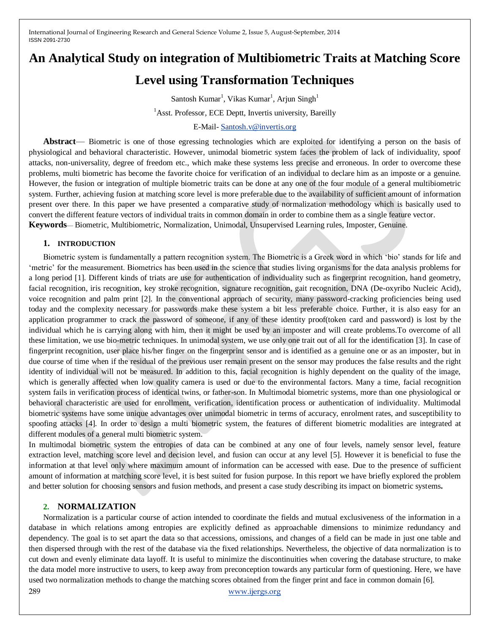# **An Analytical Study on integration of Multibiometric Traits at Matching Score**

## **Level using Transformation Techniques**

Santosh Kumar<sup>1</sup>, Vikas Kumar<sup>1</sup>, Arjun Singh<sup>1</sup>

<sup>1</sup> Asst. Professor, ECE Deptt, Invertis university, Bareilly

E-Mail- [Santosh.v@invertis.org](mailto:Santosh.v@invertis.org)

**Abstract**— Biometric is one of those egressing technologies which are exploited for identifying a person on the basis of physiological and behavioral characteristic. However, unimodal biometric system faces the problem of lack of individuality, spoof attacks, non-universality, degree of freedom etc., which make these systems less precise and erroneous. In order to overcome these problems, multi biometric has become the favorite choice for verification of an individual to declare him as an imposte or a genuine. However, the fusion or integration of multiple biometric traits can be done at any one of the four module of a general multibiometric system. Further, achieving fusion at matching score level is more preferable due to the availability of sufficient amount of information present over there. In this paper we have presented a comparative study of normalization methodology which is basically used to convert the different feature vectors of individual traits in common domain in order to combine them as a single feature vector. **Keywords**— Biometric, Multibiometric, Normalization, Unimodal, Unsupervised Learning rules, Imposter, Genuine.

### **1. INTRODUCTION**

Biometric system is fundamentally a pattern recognition system. The Biometric is a Greek word in which ‗bio' stands for life and ‗metric' for the measurement. Biometrics has been used in the science that studies living organisms for the data analysis problems for a long period [1]. Different kinds of triats are use for authentication of individuality such as fingerprint recognition, hand geometry, facial recognition, iris recognition, key stroke recognition, signature recognition, gait recognition, DNA (De-oxyribo Nucleic Acid), voice recognition and palm print [2]. In the conventional approach of security, many password-cracking proficiencies being used today and the complexity necessary for passwords make these system a bit less preferable choice. Further, it is also easy for an application programmer to crack the password of someone, if any of these identity proof(token card and password) is lost by the individual which he is carrying along with him, then it might be used by an imposter and will create problems.To overcome of all these limitation, we use bio-metric techniques. In unimodal system, we use only one trait out of all for the identification [3]. In case of fingerprint recognition, user place his/her finger on the fingerprint sensor and is identified as a genuine one or as an imposter, but in due course of time when if the residual of the previous user remain present on the sensor may produces the false results and the right identity of individual will not be measured. In addition to this, facial recognition is highly dependent on the quality of the image, which is generally affected when low quality camera is used or due to the environmental factors. Many a time, facial recognition system fails in verification process of identical twins, or father-son. In Multimodal biometric systems, more than one physiological or behavioral characteristic are used for enrollment, verification, identification process or authentication of individuality. Multimodal biometric systems have some unique advantages over unimodal biometric in terms of accuracy, enrolment rates, and susceptibility to spoofing attacks [4]. In order to design a multi biometric system, the features of different biometric modalities are integrated at different modules of a general multi biometric system.

In multimodal biometric system the entropies of data can be combined at any one of four levels, namely sensor level, feature extraction level, matching score level and decision level, and fusion can occur at any level [5]. However it is beneficial to fuse the information at that level only where maximum amount of information can be accessed with ease. Due to the presence of sufficient amount of information at matching score level, it is best suited for fusion purpose. In this report we have briefly explored the problem and better solution for choosing sensors and fusion methods, and present a case study describing its impact on biometric systems**.**

## **2. NORMALIZATION**

289 [www.ijergs.org](http://www.ijergs.org/) Normalization is a particular course of action intended to coordinate the fields and mutual exclusiveness of the information in a database in which relations among entropies are explicitly defined as approachable dimensions to minimize redundancy and dependency. The goal is to set apart the data so that accessions, omissions, and changes of a field can be made in just one table and then dispersed through with the rest of the database via the fixed relationships. Nevertheless, the objective of data normalization is to cut down and evenly eliminate data layoff. It is useful to minimize the discontinuities when covering the database structure, to make the data model more instructive to users, to keep away from preconception towards any particular form of questioning. Here, we have used two normalization methods to change the matching scores obtained from the finger print and face in common domain [6].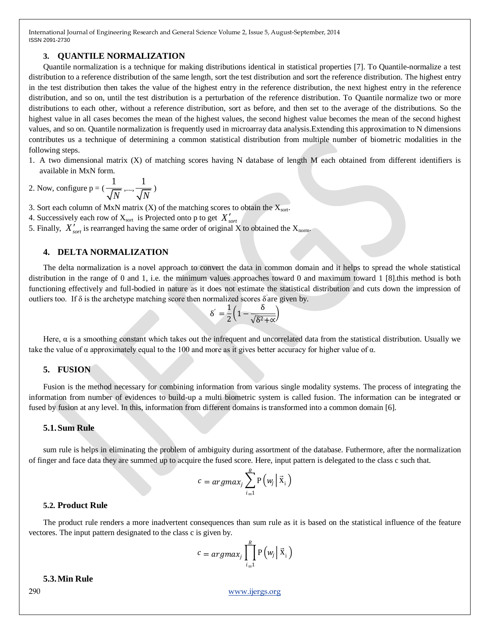#### **3. QUANTILE NORMALIZATION**

Quantile normalization is a technique for making [distributions](http://en.wikipedia.org/wiki/Probability_distribution) identical in statistical properties [7]. To Quantile-normalize a test distribution to a reference distribution of the same length, sort the test distribution and sort the reference distribution. The highest entry in the test distribution then takes the value of the highest entry in the reference distribution, the next highest entry in the reference distribution, and so on, until the test distribution is a perturbation of the reference distribution. To [Quantile](http://en.wikipedia.org/wiki/Quantile) normalize two or more distributions to each other, without a reference distribution, sort as before, and then set to the average of the distributions. So the highest value in all cases becomes the mean of the highest values, the second highest value becomes the mean of the second highest values, and so on. Quantile normalization is frequently used in [microarray](http://en.wikipedia.org/wiki/Microarray) data analysis.Extending this approximation to N dimensions contributes us a technique of determining a common statistical distribution from multiple number of biometric modalities in the following steps.

1. A two dimensional matrix (X) of matching scores having N database of length M each obtained from different identifiers is available in MxN form.

2. Now, configure  $p = \left(\frac{1}{\sqrt{2}}\right)^{1/2}$ *N* ,..., 1 *N* )

3. Sort each column of MxN matrix (X) of the matching scores to obtain the  $X_{\text{sort}}$ .

- 4. Successively each row of Xsort is Projected onto p to get *Xsort*
- 5. Finally,  $X'_{sort}$  is rearranged having the same order of original X to obtained the  $X_{norm}$ .

#### **4. DELTA NORMALIZATION**

The delta normalization is a novel approach to convert the data in common domain and it helps to spread the whole statistical distribution in the range of 0 and 1, i.e. the minimum values approaches toward 0 and maximum toward 1 [8].this method is both functioning effectively and full-bodied in nature as it does not estimate the statistical distribution and cuts down the impression of outliers too. If  $\delta$  is the archetype matching score then normalized scores  $\delta$  are given by.

$$
\delta' = \frac{1}{2} \left( 1 - \frac{\delta}{\sqrt{\delta^2 + \alpha}} \right)
$$

Here,  $\alpha$  is a smoothing constant which takes out the infrequent and uncorrelated data from the statistical distribution. Usually we take the value of  $\alpha$  approximately equal to the 100 and more as it gives better accuracy for higher value of  $\alpha$ .

#### **5. FUSION**

Fusion is the method necessary for combining information from various single modality systems. The process of integrating the information from number of evidences to build-up a multi biometric system is called fusion. The information can be integrated or fused by fusion at any level. In this, information from different domains is transformed into a common domain [6].

#### **5.1.Sum Rule**

sum rule is helps in eliminating the problem of ambiguity during assortment of the database. Futhermore, after the normalization of finger and face data they are summed up to acquire the fused score. Here, input pattern is delegated to the class c such that.

$$
c = argmax_j \sum_{i=1}^{R} P\left(w_j \mid \vec{x}_i\right)
$$

#### **5.2. Product Rule**

The product rule renders a more inadvertent consequences than sum rule as it is based on the statistical influence of the feature vectores. The input pattern designated to the class c is given by.

$$
c = argmax_j \prod_{i=1}^R P\left(w_j \middle| \vec{x}_i\right)
$$

#### **5.3.Min Rule**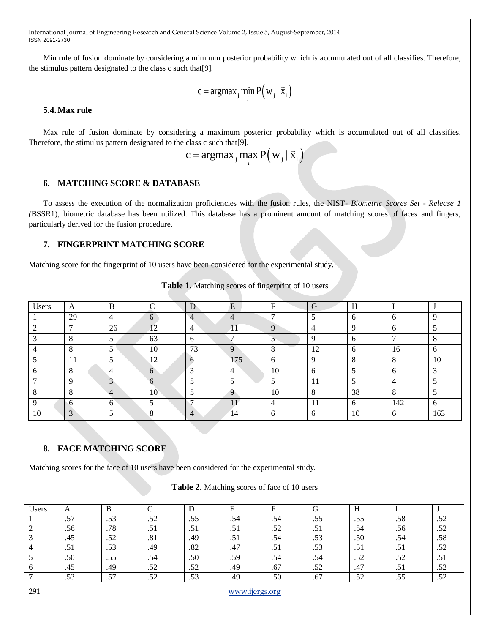Min rule of fusion dominate by considering a mimnum posterior probability which is accumulated out of all classifies. Therefore, the stimulus pattern designated to the class c such that[9].

$$
c = argmax_j \min_i P(w_j | \vec{x}_i)
$$

## **5.4.Max rule**

Max rule of fusion dominate by considering a maximum posterior probability which is accumulated out of all classifies. Therefore, the stimulus pattern designated to the class c such that[9].<br>  $c = \text{argmax}_{j} \max_{i} P(v_{j} | \vec{x}_{i})$ 

$$
c = \operatorname{argmax}_{j} \max_{i} P(w_j | \vec{x}_i)
$$

#### **6. MATCHING SCORE & DATABASE**

To assess the execution of the normalization proficiencies with the fusion rules, the NIST- *Biometric Scores Set - Release 1 (*BSSR1), biometric database has been utilized. This database has a prominent amount of matching scores of faces and fingers, particularly derived for the fusion procedure.

## **7. FINGERPRINT MATCHING SCORE**

Matching score for the fingerprint of 10 users have been considered for the experimental study.

| Users | A            | B              | ⌒              | D                        | E   | F              | G            | H        |     |        |
|-------|--------------|----------------|----------------|--------------------------|-----|----------------|--------------|----------|-----|--------|
|       | 29           | $\overline{4}$ | 6              | $\overline{\mathcal{A}}$ | 4   |                |              | 6        |     | Q      |
|       | ┍            | 26             | 12             | 4                        |     | 9              |              | Q        |     |        |
|       | 8            | 5              | 63             | 6                        |     |                |              | h        |     | Ω      |
|       | 8            | 5              | 10             | 73                       | 9   | 8              | 12           | 6        | 16  | 6      |
|       | 11           |                | 12             | 6                        | 175 | 6              | $\Omega$     | $\Omega$ |     | 10     |
|       | 8            | 4              | 6              | $\mathcal{R}$            | 4   | 10             | 6            |          |     | $\sim$ |
|       | $\Omega$     | C              | $\mathfrak{b}$ |                          |     |                | 11           |          |     |        |
|       | $\circ$<br>Ō | 4              | 10             |                          | 9   | 10             | 8            | 38       |     |        |
| Q     | 6            | 6              |                |                          |     | $\overline{4}$ | 11           | 6        | 142 | 6      |
| 10    | 3            |                | $\Omega$       | 4                        | 14  | 6              | <sub>6</sub> | 10       | h.  | 163    |

#### **Table 1.** Matching scores of fingerprint of 10 users

## **8. FACE MATCHING SCORE**

Matching scores for the face of 10 users have been considered for the experimental study.

#### **Table 2.** Matching scores of face of 10 users

| Jsers | $\Gamma$                 |                   |                         |                    |                 |           |           |           |           |                   |
|-------|--------------------------|-------------------|-------------------------|--------------------|-----------------|-----------|-----------|-----------|-----------|-------------------|
|       | $\overline{a}$<br>$\sim$ | $\sim$<br>ر ر.    | 50<br>.JZ               | .55                | .54             | .54       | .55       | ر ر.      | .58       | ے ت               |
|       | .56                      | .78               | $\cdot$ $\cdot$ $\cdot$ | ٠. ت               | .J 1            | 50<br>ے ب | . J 1     | .54       | .56       | $\epsilon$<br>ے ب |
|       | .45                      | 52<br>ىر ر.       | .81                     | .49                | $\cdot$ $\cdot$ | .54       | .53       | .50       | .54       | .58               |
|       |                          | .53               | .49                     | .82                | .47             | ر         | .53       | .J 1      | . J 1     | $\epsilon$<br>ے ب |
|       | .50                      | .55               | .54                     | .50                | .59             | .54       | .54       | c٥<br>ے ت | ςΛ<br>ے ت | ٠.,               |
|       | .45                      | .49               | .52                     | $\epsilon$<br>ے بی | .49             | .67       | 50<br>ے ب | ، 4،      | .J 1      | $\epsilon$<br>ے ب |
|       | .53                      | $\epsilon$<br>، ب | .52                     | $\sim$<br>.JJ      | .49             | .50       | .67       | c٥<br>⊿ ب | .55       | ے ب               |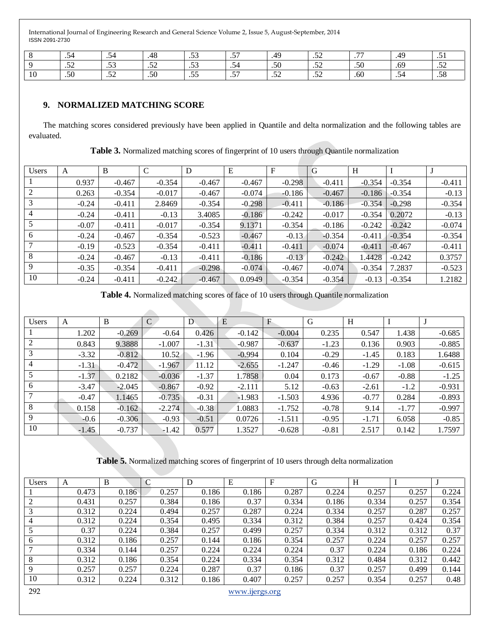|    | $\cdot$            | ا ⊿ו<br>$\cdot$ - $\cdot$ - | 1 O<br>48          | $\sim$<br>$\cdot$               | $ -$<br>$\cdot$                              | 40             | $\sim$<br>ے بی    | $\overline{a}$<br>$\cdot$ $\cdot$ | 49  | ر ب                   |
|----|--------------------|-----------------------------|--------------------|---------------------------------|----------------------------------------------|----------------|-------------------|-----------------------------------|-----|-----------------------|
|    | $\epsilon$<br>ے بی | $\sim$<br>.                 | $\epsilon$<br>ے بی | $\sim$<br>$\cdot$               | $\overline{\phantom{0}}$<br>$\cdot$ J $\top$ | .50            | $\sim$<br>ے بی    | .50                               | .69 | $\sim$ $\sim$<br>ىر ب |
| 10 | .50                | $\sim$<br>$\cdot$           | .50                | $ -$<br>$\cdot\!\!\sim\!\!\sim$ | $-$<br>$\cdot$                               | $\sim$<br>ىر ب | $\sim$<br>$\cdot$ | .60                               | 34. | $\sim$ $\sim$<br>. აა |

## **9. NORMALIZED MATCHING SCORE**

 $\overline{\phantom{a}}$ 

The matching scores considered previously have been applied in Quantile and delta normalization and the following tables are evaluated.

|  |  | Table 3. Normalized matching scores of fingerprint of 10 users through Quantile normalization |
|--|--|-----------------------------------------------------------------------------------------------|
|--|--|-----------------------------------------------------------------------------------------------|

| <b>Users</b>   | A       | B        | $\mathcal{C}$ | D        | E        | F        | G        | H        |          |          |
|----------------|---------|----------|---------------|----------|----------|----------|----------|----------|----------|----------|
|                | 0.937   | $-0.467$ | $-0.354$      | $-0.467$ | $-0.467$ | $-0.298$ | $-0.411$ | $-0.354$ | $-0.354$ | $-0.411$ |
|                | 0.263   | $-0.354$ | $-0.017$      | $-0.467$ | $-0.074$ | $-0.186$ | $-0.467$ | $-0.186$ | $-0.354$ | $-0.13$  |
|                | $-0.24$ | $-0.411$ | 2.8469        | $-0.354$ | $-0.298$ | $-0.411$ | $-0.186$ | $-0.354$ | $-0.298$ | $-0.354$ |
| $\overline{4}$ | $-0.24$ | $-0.411$ | $-0.13$       | 3.4085   | $-0.186$ | $-0.242$ | $-0.017$ | $-0.354$ | 0.2072   | $-0.13$  |
|                | $-0.07$ | $-0.411$ | $-0.017$      | $-0.354$ | 9.1371   | $-0.354$ | $-0.186$ | $-0.242$ | $-0.242$ | $-0.074$ |
| 6              | $-0.24$ | $-0.467$ | $-0.354$      | $-0.523$ | $-0.467$ | $-0.13$  | $-0.354$ | $-0.411$ | $-0.354$ | $-0.354$ |
|                | $-0.19$ | $-0.523$ | $-0.354$      | $-0.411$ | $-0.411$ | $-0.411$ | $-0.074$ | $-0.411$ | $-0.467$ | $-0.411$ |
| 8              | $-0.24$ | $-0.467$ | $-0.13$       | $-0.411$ | $-0.186$ | $-0.13$  | $-0.242$ | 1.4428   | $-0.242$ | 0.3757   |
| 9              | $-0.35$ | $-0.354$ | $-0.411$      | $-0.298$ | $-0.074$ | $-0.467$ | $-0.074$ | $-0.354$ | 7.2837   | $-0.523$ |
| 10             | $-0.24$ | $-0.411$ | $-0.242$      | $-0.467$ | 0.0949   | $-0.354$ | $-0.354$ | $-0.13$  | $-0.354$ | 1.2182   |

**Table 4.** Normalized matching scores of face of 10 users through Quantile normalization

| <b>Users</b> | А       | B        | $\mathcal{C}$ | D       | E        | F        | G       | H       |         |          |
|--------------|---------|----------|---------------|---------|----------|----------|---------|---------|---------|----------|
|              | 1.202   | $-0.269$ | $-0.64$       | 0.426   | $-0.142$ | $-0.004$ | 0.235   | 0.547   | 1.438   | $-0.685$ |
| 2            | 0.843   | 9.3888   | $-1.007$      | $-1.31$ | $-0.987$ | $-0.637$ | $-1.23$ | 0.136   | 0.903   | $-0.885$ |
| 3            | $-3.32$ | $-0.812$ | 10.52         | $-1.96$ | $-0.994$ | 0.104    | $-0.29$ | $-1.45$ | 0.183   | 1.6488   |
| 4            | $-1.31$ | $-0.472$ | $-1.967$      | 11.12   | $-2.655$ | $-1.247$ | $-0.46$ | $-1.29$ | $-1.08$ | $-0.615$ |
|              | $-1.37$ | 0.2182   | $-0.036$      | $-1.37$ | 1.7858   | 0.04     | 0.173   | $-0.67$ | $-0.88$ | $-1.25$  |
| 6            | $-3.47$ | $-2.045$ | $-0.867$      | $-0.92$ | $-2.111$ | 5.12     | $-0.63$ | $-2.61$ | $-1.2$  | $-0.931$ |
|              | $-0.47$ | 1.1465   | $-0.735$      | $-0.31$ | $-1.983$ | $-1.503$ | 4.936   | $-0.77$ | 0.284   | $-0.893$ |
| 8            | 0.158   | $-0.162$ | $-2.274$      | $-0.38$ | 1.0883   | $-1.752$ | $-0.78$ | 9.14    | $-1.77$ | $-0.997$ |
| 9            | $-0.6$  | $-0.306$ | $-0.93$       | $-0.51$ | 0.0726   | $-1.511$ | $-0.95$ | $-1.71$ | 6.058   | $-0.85$  |
| 10           | $-1.45$ | $-0.737$ | $-1.42$       | 0.577   | 1.3527   | $-0.628$ | $-0.81$ | 2.517   | 0.142   | 1.7597   |

**Table 5.** Normalized matching scores of fingerprint of 10 users through delta normalization

| <b>Users</b>   | A     | B     | ⌒<br>◡ | D     | E     | F     | G     | H     |       |       |
|----------------|-------|-------|--------|-------|-------|-------|-------|-------|-------|-------|
|                | 0.473 | 0.186 | 0.257  | 0.186 | 0.186 | 0.287 | 0.224 | 0.257 | 0.257 | 0.224 |
| 2              | 0.431 | 0.257 | 0.384  | 0.186 | 0.37  | 0.334 | 0.186 | 0.334 | 0.257 | 0.354 |
|                | 0.312 | 0.224 | 0.494  | 0.257 | 0.287 | 0.224 | 0.334 | 0.257 | 0.287 | 0.257 |
| $\overline{4}$ | 0.312 | 0.224 | 0.354  | 0.495 | 0.334 | 0.312 | 0.384 | 0.257 | 0.424 | 0.354 |
|                | 0.37  | 0.224 | 0.384  | 0.257 | 0.499 | 0.257 | 0.334 | 0.312 | 0.312 | 0.37  |
| 6              | 0.312 | 0.186 | 0.257  | 0.144 | 0.186 | 0.354 | 0.257 | 0.224 | 0.257 | 0.257 |
|                | 0.334 | 0.144 | 0.257  | 0.224 | 0.224 | 0.224 | 0.37  | 0.224 | 0.186 | 0.224 |
| 8              | 0.312 | 0.186 | 0.354  | 0.224 | 0.334 | 0.354 | 0.312 | 0.484 | 0.312 | 0.442 |
| 9              | 0.257 | 0.257 | 0.224  | 0.287 | 0.37  | 0.186 | 0.37  | 0.257 | 0.499 | 0.144 |
| 10             | 0.312 | 0.224 | 0.312  | 0.186 | 0.407 | 0.257 | 0.257 | 0.354 | 0.257 | 0.48  |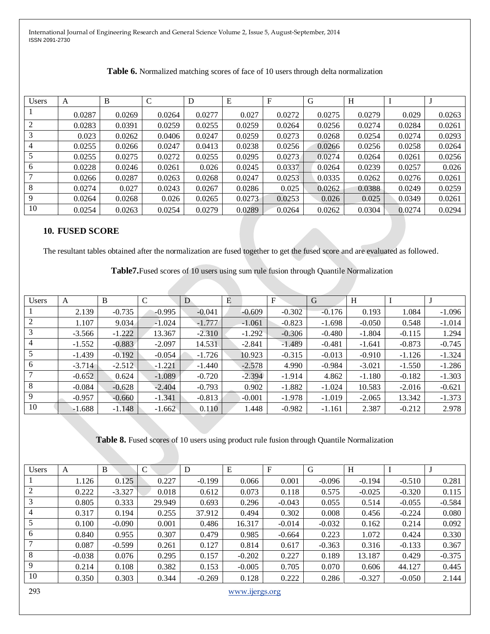| <b>Users</b> | А      | B      | C      | D      | E      | F      | G      | H      |        |        |
|--------------|--------|--------|--------|--------|--------|--------|--------|--------|--------|--------|
|              | 0.0287 | 0.0269 | 0.0264 | 0.0277 | 0.027  | 0.0272 | 0.0275 | 0.0279 | 0.029  | 0.0263 |
| 2            | 0.0283 | 0.0391 | 0.0259 | 0.0255 | 0.0259 | 0.0264 | 0.0256 | 0.0274 | 0.0284 | 0.0261 |
| 3            | 0.023  | 0.0262 | 0.0406 | 0.0247 | 0.0259 | 0.0273 | 0.0268 | 0.0254 | 0.0274 | 0.0293 |
| 4            | 0.0255 | 0.0266 | 0.0247 | 0.0413 | 0.0238 | 0.0256 | 0.0266 | 0.0256 | 0.0258 | 0.0264 |
|              | 0.0255 | 0.0275 | 0.0272 | 0.0255 | 0.0295 | 0.0273 | 0.0274 | 0.0264 | 0.0261 | 0.0256 |
| 6            | 0.0228 | 0.0246 | 0.0261 | 0.026  | 0.0245 | 0.0337 | 0.0264 | 0.0239 | 0.0257 | 0.026  |
|              | 0.0266 | 0.0287 | 0.0263 | 0.0268 | 0.0247 | 0.0253 | 0.0335 | 0.0262 | 0.0276 | 0.0261 |
| 8            | 0.0274 | 0.027  | 0.0243 | 0.0267 | 0.0286 | 0.025  | 0.0262 | 0.0388 | 0.0249 | 0.0259 |
| 9            | 0.0264 | 0.0268 | 0.026  | 0.0265 | 0.0273 | 0.0253 | 0.026  | 0.025  | 0.0349 | 0.0261 |
| 10           | 0.0254 | 0.0263 | 0.0254 | 0.0279 | 0.0289 | 0.0264 | 0.0262 | 0.0304 | 0.0274 | 0.0294 |

## **10. FUSED SCORE**

The resultant tables obtained after the normalization are fused together to get the fused score and are evaluated as followed.

**Table7.**Fused scores of 10 users using sum rule fusion through Quantile Normalization

| <b>Users</b> | A        | B        | $\mathcal{C}$ | D        | Ε        | F        | G        | H        |          |          |
|--------------|----------|----------|---------------|----------|----------|----------|----------|----------|----------|----------|
|              | 2.139    | $-0.735$ | $-0.995$      | $-0.041$ | $-0.609$ | $-0.302$ | $-0.176$ | 0.193    | 1.084    | $-1.096$ |
|              | 1.107    | 9.034    | $-1.024$      | $-1.777$ | $-1.061$ | $-0.823$ | $-1.698$ | $-0.050$ | 0.548    | $-1.014$ |
|              | $-3.566$ | $-1.222$ | 13.367        | $-2.310$ | $-1.292$ | $-0.306$ | $-0.480$ | $-1.804$ | $-0.115$ | 1.294    |
|              | $-1.552$ | $-0.883$ | $-2.097$      | 14.531   | $-2.841$ | $-1.489$ | $-0.481$ | $-1.641$ | $-0.873$ | $-0.745$ |
|              | $-1.439$ | $-0.192$ | $-0.054$      | $-1.726$ | 10.923   | $-0.315$ | $-0.013$ | $-0.910$ | $-1.126$ | $-1.324$ |
| 6            | $-3.714$ | $-2.512$ | $-1.221$      | $-1.440$ | $-2.578$ | 4.990    | $-0.984$ | $-3.021$ | $-1.550$ | $-1.286$ |
|              | $-0.652$ | 0.624    | $-1.089$      | $-0.720$ | $-2.394$ | $-1.914$ | 4.862    | $-1.180$ | $-0.182$ | $-1.303$ |
| 8            | $-0.084$ | $-0.628$ | $-2.404$      | $-0.793$ | 0.902    | $-1.882$ | $-1.024$ | 10.583   | $-2.016$ | $-0.621$ |
| 9            | $-0.957$ | $-0.660$ | $-1.341$      | $-0.813$ | $-0.001$ | $-1.978$ | $-1.019$ | $-2.065$ | 13.342   | $-1.373$ |
| 10           | $-1.688$ | $-1.148$ | $-1.662$      | 0.110    | 1.448    | $-0.982$ | $-1.161$ | 2.387    | $-0.212$ | 2.978    |

**Table 8.** Fused scores of 10 users using product rule fusion through Quantile Normalization

| <b>Users</b> | A        | B        | C      | D        | E        | F        | G        | H        |          |          |
|--------------|----------|----------|--------|----------|----------|----------|----------|----------|----------|----------|
|              | 1.126    | 0.125    | 0.227  | $-0.199$ | 0.066    | 0.001    | $-0.096$ | $-0.194$ | $-0.510$ | 0.281    |
| 2            | 0.222    | $-3.327$ | 0.018  | 0.612    | 0.073    | 0.118    | 0.575    | $-0.025$ | $-0.320$ | 0.115    |
| 3            | 0.805    | 0.333    | 29.949 | 0.693    | 0.296    | $-0.043$ | 0.055    | 0.514    | $-0.055$ | $-0.584$ |
| 4            | 0.317    | 0.194    | 0.255  | 37.912   | 0.494    | 0.302    | 0.008    | 0.456    | $-0.224$ | 0.080    |
|              | 0.100    | $-0.090$ | 0.001  | 0.486    | 16.317   | $-0.014$ | $-0.032$ | 0.162    | 0.214    | 0.092    |
| 6            | 0.840    | 0.955    | 0.307  | 0.479    | 0.985    | $-0.664$ | 0.223    | 1.072    | 0.424    | 0.330    |
|              | 0.087    | $-0.599$ | 0.261  | 0.127    | 0.814    | 0.617    | $-0.363$ | 0.316    | $-0.133$ | 0.367    |
| 8            | $-0.038$ | 0.076    | 0.295  | 0.157    | $-0.202$ | 0.227    | 0.189    | 13.187   | 0.429    | $-0.375$ |
| 9            | 0.214    | 0.108    | 0.382  | 0.153    | $-0.005$ | 0.705    | 0.070    | 0.606    | 44.127   | 0.445    |
| 10           | 0.350    | 0.303    | 0.344  | $-0.269$ | 0.128    | 0.222    | 0.286    | $-0.327$ | $-0.050$ | 2.144    |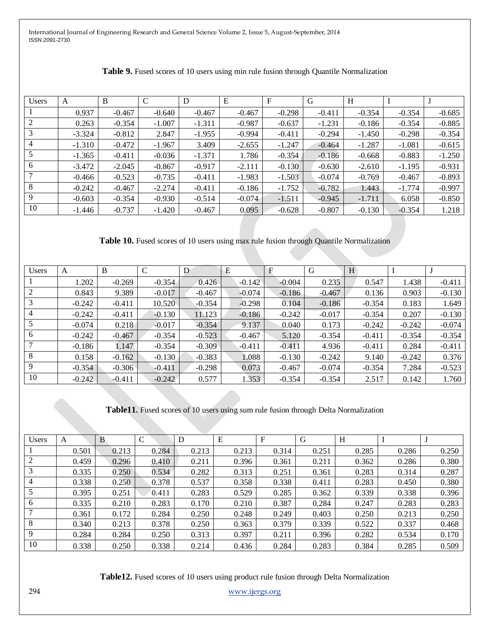| <b>Users</b> | A        | B        | $\mathcal{C}$ | D        | E        | F        | G        | H        |          |          |
|--------------|----------|----------|---------------|----------|----------|----------|----------|----------|----------|----------|
|              | 0.937    | $-0.467$ | $-0.640$      | $-0.467$ | $-0.467$ | $-0.298$ | $-0.411$ | $-0.354$ | $-0.354$ | $-0.685$ |
|              | 0.263    | $-0.354$ | $-1.007$      | $-1.311$ | $-0.987$ | $-0.637$ | $-1.231$ | $-0.186$ | $-0.354$ | $-0.885$ |
|              | $-3.324$ | $-0.812$ | 2.847         | $-1.955$ | $-0.994$ | $-0.411$ | $-0.294$ | $-1.450$ | $-0.298$ | $-0.354$ |
|              | $-1.310$ | $-0.472$ | $-1.967$      | 3.409    | $-2.655$ | $-1.247$ | $-0.464$ | $-1.287$ | $-1.081$ | $-0.615$ |
|              | $-1.365$ | $-0.411$ | $-0.036$      | $-1.371$ | 1.786    | $-0.354$ | $-0.186$ | $-0.668$ | $-0.883$ | $-1.250$ |
| 6            | $-3.472$ | $-2.045$ | $-0.867$      | $-0.917$ | $-2.111$ | $-0.130$ | $-0.630$ | $-2.610$ | $-1.195$ | $-0.931$ |
|              | $-0.466$ | $-0.523$ | $-0.735$      | $-0.411$ | $-1.983$ | $-1.503$ | $-0.074$ | $-0.769$ | $-0.467$ | $-0.893$ |
| 8            | $-0.242$ | $-0.467$ | $-2.274$      | $-0.411$ | $-0.186$ | $-1.752$ | $-0.782$ | 1.443    | $-1.774$ | $-0.997$ |
| -9           | $-0.603$ | $-0.354$ | $-0.930$      | $-0.514$ | $-0.074$ | $-1.511$ | $-0.945$ | $-1.711$ | 6.058    | $-0.850$ |
| 10           | $-1.446$ | $-0.737$ | $-1.420$      | $-0.467$ | 0.095    | $-0.628$ | $-0.807$ | $-0.130$ | $-0.354$ | 1.218    |

| Table 9. Fused scores of 10 users using min rule fusion through Quantile Normalization |  |  |  |
|----------------------------------------------------------------------------------------|--|--|--|
|----------------------------------------------------------------------------------------|--|--|--|

**Table 10.** Fused scores of 10 users using max rule fusion through Quantile Normalization

| <b>Users</b> | A        | B        | $\mathcal{C}$ | D        | E        | F        | G        | H        |          |          |
|--------------|----------|----------|---------------|----------|----------|----------|----------|----------|----------|----------|
|              | 1.202    | $-0.269$ | $-0.354$      | 0.426    | $-0.142$ | $-0.004$ | 0.235    | 0.547    | 1.438    | $-0.411$ |
|              | 0.843    | 9.389    | $-0.017$      | $-0.467$ | $-0.074$ | $-0.186$ | $-0.467$ | 0.136    | 0.903    | $-0.130$ |
|              | $-0.242$ | $-0.411$ | 10.520        | $-0.354$ | $-0.298$ | 0.104    | $-0.186$ | $-0.354$ | 0.183    | 1.649    |
|              | $-0.242$ | $-0.411$ | $-0.130$      | 11.123   | $-0.186$ | $-0.242$ | $-0.017$ | $-0.354$ | 0.207    | $-0.130$ |
|              | $-0.074$ | 0.218    | $-0.017$      | $-0.354$ | 9.137    | 0.040    | 0.173    | $-0.242$ | $-0.242$ | $-0.074$ |
| 6            | $-0.242$ | $-0.467$ | $-0.354$      | $-0.523$ | $-0.467$ | 5.120    | $-0.354$ | $-0.411$ | $-0.354$ | $-0.354$ |
|              | $-0.186$ | 1.147    | $-0.354$      | $-0.309$ | $-0.411$ | $-0.411$ | 4.936    | $-0.411$ | 0.284    | $-0.411$ |
| 8            | 0.158    | $-0.162$ | $-0.130$      | $-0.383$ | 1.088    | $-0.130$ | $-0.242$ | 9.140    | $-0.242$ | 0.376    |
| 9            | $-0.354$ | $-0.306$ | $-0.411$      | $-0.298$ | 0.073    | $-0.467$ | $-0.074$ | $-0.354$ | 7.284    | $-0.523$ |
| 10           | $-0.242$ | $-0.411$ | $-0.242$      | 0.577    | 1.353    | $-0.354$ | $-0.354$ | 2.517    | 0.142    | 1.760    |

**Table11.** Fused scores of 10 users using sum rule fusion through Delta Normalization

| <b>Users</b> | A     | B     |       | D     | E     | F     | G     | H     |       |       |
|--------------|-------|-------|-------|-------|-------|-------|-------|-------|-------|-------|
|              | 0.501 | 0.213 | 0.284 | 0.213 | 0.213 | 0.314 | 0.251 | 0.285 | 0.286 | 0.250 |
|              | 0.459 | 0.296 | 0.410 | 0.211 | 0.396 | 0.361 | 0.211 | 0.362 | 0.286 | 0.380 |
| 3            | 0.335 | 0.250 | 0.534 | 0.282 | 0.313 | 0.251 | 0.361 | 0.283 | 0.314 | 0.287 |
| 4            | 0.338 | 0.250 | 0.378 | 0.537 | 0.358 | 0.338 | 0.411 | 0.283 | 0.450 | 0.380 |
|              | 0.395 | 0.251 | 0.411 | 0.283 | 0.529 | 0.285 | 0.362 | 0.339 | 0.338 | 0.396 |
| 6            | 0.335 | 0.210 | 0.283 | 0.170 | 0.210 | 0.387 | 0.284 | 0.247 | 0.283 | 0.283 |
|              | 0.361 | 0.172 | 0.284 | 0.250 | 0.248 | 0.249 | 0.403 | 0.250 | 0.213 | 0.250 |
| 8            | 0.340 | 0.213 | 0.378 | 0.250 | 0.363 | 0.379 | 0.339 | 0.522 | 0.337 | 0.468 |
| 9            | 0.284 | 0.284 | 0.250 | 0.313 | 0.397 | 0.211 | 0.396 | 0.282 | 0.534 | 0.170 |
| 10           | 0.338 | 0.250 | 0.338 | 0.214 | 0.436 | 0.284 | 0.283 | 0.384 | 0.285 | 0.509 |

**Table12.** Fused scores of 10 users using product rule fusion through Delta Normalization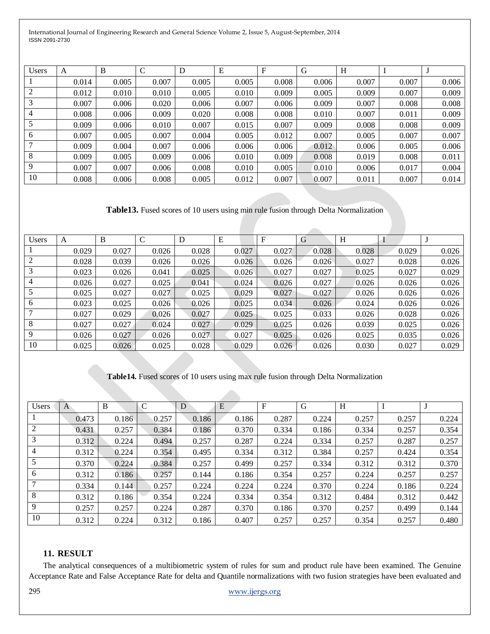| <b>Users</b> | A     | B     | $\mathcal{C}$ | D     | E     | F     | G     | H     |       |       |
|--------------|-------|-------|---------------|-------|-------|-------|-------|-------|-------|-------|
|              | 0.014 | 0.005 | 0.007         | 0.005 | 0.005 | 0.008 | 0.006 | 0.007 | 0.007 | 0.006 |
| 2            | 0.012 | 0.010 | 0.010         | 0.005 | 0.010 | 0.009 | 0.005 | 0.009 | 0.007 | 0.009 |
|              | 0.007 | 0.006 | 0.020         | 0.006 | 0.007 | 0.006 | 0.009 | 0.007 | 0.008 | 0.008 |
| 4            | 0.008 | 0.006 | 0.009         | 0.020 | 0.008 | 0.008 | 0.010 | 0.007 | 0.011 | 0.009 |
|              | 0.009 | 0.006 | 0.010         | 0.007 | 0.015 | 0.007 | 0.009 | 0.008 | 0.008 | 0.009 |
| 6            | 0.007 | 0.005 | 0.007         | 0.004 | 0.005 | 0.012 | 0.007 | 0.005 | 0.007 | 0.007 |
|              | 0.009 | 0.004 | 0.007         | 0.006 | 0.006 | 0.006 | 0.012 | 0.006 | 0.005 | 0.006 |
| 8            | 0.009 | 0.005 | 0.009         | 0.006 | 0.010 | 0.009 | 0.008 | 0.019 | 0.008 | 0.011 |
| 9            | 0.007 | 0.007 | 0.006         | 0.008 | 0.010 | 0.005 | 0.010 | 0.006 | 0.017 | 0.004 |
| 10           | 0.008 | 0.006 | 0.008         | 0.005 | 0.012 | 0.007 | 0.007 | 0.011 | 0.007 | 0.014 |

**Table13.** Fused scores of 10 users using min rule fusion through Delta Normalization

| Users | A     | B     | C     | D     | E     | F     | G     | Н     |       |       |
|-------|-------|-------|-------|-------|-------|-------|-------|-------|-------|-------|
|       | 0.029 | 0.027 | 0.026 | 0.028 | 0.027 | 0.027 | 0.028 | 0.028 | 0.029 | 0.026 |
|       | 0.028 | 0.039 | 0.026 | 0.026 | 0.026 | 0.026 | 0.026 | 0.027 | 0.028 | 0.026 |
|       | 0.023 | 0.026 | 0.041 | 0.025 | 0.026 | 0.027 | 0.027 | 0.025 | 0.027 | 0.029 |
|       | 0.026 | 0.027 | 0.025 | 0.041 | 0.024 | 0.026 | 0.027 | 0.026 | 0.026 | 0.026 |
|       | 0.025 | 0.027 | 0.027 | 0.025 | 0.029 | 0.027 | 0.027 | 0.026 | 0.026 | 0.026 |
| 6     | 0.023 | 0.025 | 0.026 | 0.026 | 0.025 | 0.034 | 0.026 | 0.024 | 0.026 | 0.026 |
|       | 0.027 | 0.029 | 0.026 | 0.027 | 0.025 | 0.025 | 0.033 | 0.026 | 0.028 | 0.026 |
| 8     | 0.027 | 0.027 | 0.024 | 0.027 | 0.029 | 0.025 | 0.026 | 0.039 | 0.025 | 0.026 |
| 9     | 0.026 | 0.027 | 0.026 | 0.027 | 0.027 | 0.025 | 0.026 | 0.025 | 0.035 | 0.026 |
| 10    | 0.025 | 0.026 | 0.025 | 0.028 | 0.029 | 0.026 | 0.026 | 0.030 | 0.027 | 0.029 |

## **Table14.** Fused scores of 10 users using max rule fusion through Delta Normalization

| <b>Users</b> | A     | B     | $\mathcal{C}$ | D     | E     | $\mathbf F$ | G     | H     |       |       |
|--------------|-------|-------|---------------|-------|-------|-------------|-------|-------|-------|-------|
|              | 0.473 | 0.186 | 0.257         | 0.186 | 0.186 | 0.287       | 0.224 | 0.257 | 0.257 | 0.224 |
| 2            | 0.431 | 0.257 | 0.384         | 0.186 | 0.370 | 0.334       | 0.186 | 0.334 | 0.257 | 0.354 |
| 3            | 0.312 | 0.224 | 0.494         | 0.257 | 0.287 | 0.224       | 0.334 | 0.257 | 0.287 | 0.257 |
| 4            | 0.312 | 0.224 | 0.354         | 0.495 | 0.334 | 0.312       | 0.384 | 0.257 | 0.424 | 0.354 |
| 5            | 0.370 | 0.224 | 0.384         | 0.257 | 0.499 | 0.257       | 0.334 | 0.312 | 0.312 | 0.370 |
| 6            | 0.312 | 0.186 | 0.257         | 0.144 | 0.186 | 0.354       | 0.257 | 0.224 | 0.257 | 0.257 |
|              | 0.334 | 0.144 | 0.257         | 0.224 | 0.224 | 0.224       | 0.370 | 0.224 | 0.186 | 0.224 |
| 8            | 0.312 | 0.186 | 0.354         | 0.224 | 0.334 | 0.354       | 0.312 | 0.484 | 0.312 | 0.442 |
| 9            | 0.257 | 0.257 | 0.224         | 0.287 | 0.370 | 0.186       | 0.370 | 0.257 | 0.499 | 0.144 |
| 10           | 0.312 | 0.224 | 0.312         | 0.186 | 0.407 | 0.257       | 0.257 | 0.354 | 0.257 | 0.480 |

## **11. RESULT**

The analytical consequences of a multibiometric system of rules for sum and product rule have been examined. The Genuine Acceptance Rate and False Acceptance Rate for delta and Quantile normalizations with two fusion strategies have been evaluated and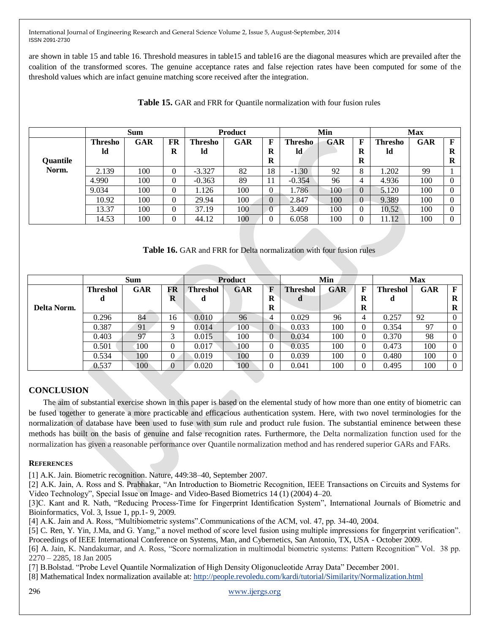are shown in table 15 and table 16. Threshold measures in table15 and table16 are the diagonal measures which are prevailed after the coalition of the transformed scores. The genuine acceptance rates and false rejection rates have been computed for some of the threshold values which are infact genuine matching score received after the integration.

|          |                | <b>Sum</b> |          | <b>Product</b> |     |          | Min      |     | <b>Max</b>     |                |     |   |
|----------|----------------|------------|----------|----------------|-----|----------|----------|-----|----------------|----------------|-----|---|
|          | <b>Thresho</b> | GAR        | FR       | Thresho        | GAR | F        | Thresho  | GAR | F              | <b>Thresho</b> | GAR | F |
|          | ld             |            | R        | ld             |     | R        | ld       |     | R              | ld             |     | R |
| Quantile |                |            |          |                |     | R        |          |     | $\bf{R}$       |                |     | R |
| Norm.    | 2.139          | 100        | 0        | $-3.327$       | 82  | 18       | $-1.30$  | 92  | 8              | 1.202          | 99  |   |
|          | 4.990          | 100        | $\Omega$ | $-0.363$       | 89  | 11       | $-0.354$ | 96  | $\overline{4}$ | 4.936          | 100 |   |
|          | 9.034          | 100        | 0        | 1.126          | 100 | 0        | 1.786    | 100 | $\theta$       | 5.120          | 100 | 0 |
|          | 10.92          | 100        | 0        | 29.94          | 100 | $\Omega$ | 2.847    | 100 | $\theta$       | 9.389          | 100 | 0 |
|          | 13.37          | 100        | 0        | 37.19          | 100 |          | 3.409    | 100 | $\theta$       | 10.52          | 100 | 0 |
|          | 14.53          | 100        | 0        | 44.12          | 100 |          | 6.058    | 100 | 0              | 11.12          | 100 | 0 |

**Table 15.** GAR and FRR for Quantile normalization with four fusion rules

**Table 16.** GAR and FRR for Delta normalization with four fusion rules

|             |                 | <b>Sum</b>     | Product  |                 |            |                | Min             |     | <b>Max</b> |          |            |   |
|-------------|-----------------|----------------|----------|-----------------|------------|----------------|-----------------|-----|------------|----------|------------|---|
|             | <b>Threshol</b> | <b>GAR</b>     | FR       | <b>Threshol</b> | <b>GAR</b> | F              | <b>Threshol</b> | GAR | F          | Threshol | <b>GAR</b> | F |
|             | d               |                | $\bf{R}$ | d               |            | $\bf{R}$       | d               |     | R          | d        |            | R |
| Delta Norm. |                 |                |          |                 |            | $\bf R$        |                 |     | $\bf{R}$   |          |            | R |
|             | 0.296           | 84             | 16       | 0.010           | 96         | 4              | 0.029           | 96  | 4          | 0.257    | 92         |   |
|             | 0.387           | 91             | Q        | 0.014           | 100        | $\overline{0}$ | 0.033           | 100 | $\theta$   | 0.354    | 97         |   |
|             | 0.403           | Q <sub>7</sub> | 2        | 0.015           | 100        | $\overline{0}$ | 0.034           | 100 |            | 0.370    | 98         | 0 |
|             | 0.501           | 100            | 0        | 0.017           | 100        | 0              | 0.035           | 100 |            | 0.473    | 100        |   |
|             | 0.534           | 100            | $\theta$ | 0.019           | 100        | 0              | 0.039           | 100 | 0          | 0.480    | 100        |   |
|             | 0.537           | 100            | 0        | 0.020           | 100        |                | 0.041           | 100 |            | 0.495    | 100        | 0 |

## **CONCLUSION**

The aim of substantial exercise shown in this paper is based on the elemental study of how more than one entity of biometric can be fused together to generate a more practicable and efficacious authentication system. Here, with two novel terminologies for the normalization of database have been used to fuse with sum rule and product rule fusion. The substantial eminence between these methods has built on the basis of genuine and false recognition rates. Furthermore, the Delta normalization function used for the normalization has given a reasonable performance over Quantile normalization method and has rendered superior GARs and FARs.

#### **REFERENCES**

[1] A.K. Jain. Biometric recognition. Nature, 449:38–40, September 2007.

[2] A.K. Jain, A. Ross and S. Prabhakar, "An Introduction to Biometric Recognition, IEEE Transactions on Circuits and Systems for Video Technology", Special Issue on Image- and Video-Based Biometrics 14 (1) (2004) 4–20.

[3]C. Kant and R. Nath, "Reducing Process-Time for Fingerprint Identification System", International Journals of Biometric and Bioinformatics, Vol. 3, Issue 1, pp.1- 9, 2009.

[4] A.K. Jain and A. Ross, "Multibiometric systems". Communications of the ACM, vol. 47, pp. 34-40, 2004.

[5] C. Ren, Y. Yin, J.Ma, and G. Yang," a novel method of score level fusion using multiple impressions for fingerprint verification". Proceedings of IEEE International Conference on Systems, Man, and Cybernetics, San Antonio, TX, USA - October 2009.

[6] A. Jain, K. Nandakumar, and A. Ross, "Score normalization in multimodal biometric systems: Pattern Recognition" Vol. 38 pp. 2270 – 2285, 18 Jan 2005

[7] B.Bolstad. "Probe Level Quantile Normalization of High Density Oligonucleotide Array Data" December 2001.

[8] Mathematical Index normalization available at:<http://people.revoledu.com/kardi/tutorial/Similarity/Normalization.html>